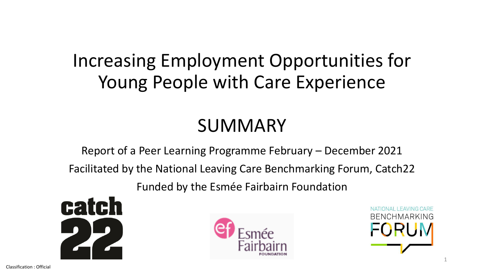# Increasing Employment Opportunities for Young People with Care Experience

# SUMMARY

Report of a Peer Learning Programme February – December 2021

Facilitated by the National Leaving Care Benchmarking Forum, Catch22

Funded by the Esmée Fairbairn Foundation





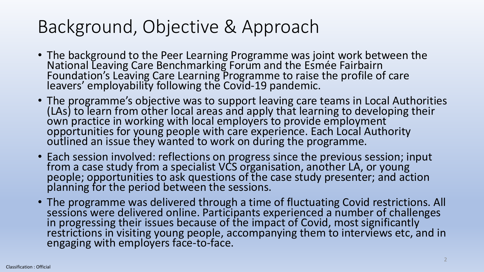# Background, Objective & Approach

- The background to the Peer Learning Programme was joint work between the National Leaving Care Benchmarking Forum and the Esmée Fairbairn Foundation's Leaving Care Learning Programme to raise the profile of care leavers' employability following the Covid-19 pandemic.
- The programme's objective was to support leaving care teams in Local Authorities (LAs) to learn from other local areas and apply that learning to developing their own practice in working with local employers to provide employment opportunities for young people with care experience. Each Local Authority outlined an issue they wanted to work on during the programme.
- Each session involved: reflections on progress since the previous session; input from a case study from a specialist VCS organisation, another LA, or young people; opportunities to ask questions of the case study presenter; and action planning for the period between the sessions.
- The programme was delivered through a time of fluctuating Covid restrictions. All sessions were delivered online. Participants experienced a number of challenges in progressing their issues because of the impact of Covid, most significantly restrictions in visiting young people, accompanying them to interviews etc, and in engaging with employers face-to-face.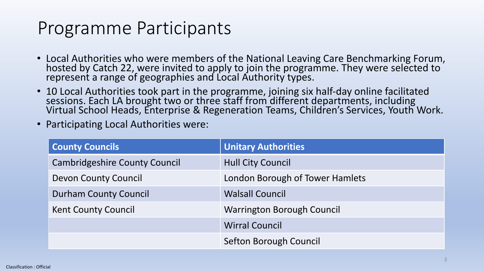## Programme Participants

- Local Authorities who were members of the National Leaving Care Benchmarking Forum, hosted by Catch 22, were invited to apply to join the programme. They were selected to represent a range of geographies and Local Authority types.
- 10 Local Authorities took part in the programme, joining six half-day online facilitated sessions. Each LA brought two or three staff from different departments, including Virtual School Heads, Enterprise & Regeneration Teams, Children's Services, Youth Work.
- Participating Local Authorities were:

| <b>County Councils</b>               | <b>Unitary Authorities</b>        |
|--------------------------------------|-----------------------------------|
| <b>Cambridgeshire County Council</b> | <b>Hull City Council</b>          |
| <b>Devon County Council</b>          | London Borough of Tower Hamlets   |
| <b>Durham County Council</b>         | <b>Walsall Council</b>            |
| <b>Kent County Council</b>           | <b>Warrington Borough Council</b> |
|                                      | <b>Wirral Council</b>             |
|                                      | Sefton Borough Council            |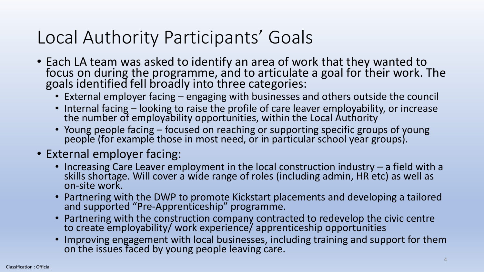# Local Authority Participants' Goals

- Each LA team was asked to identify an area of work that they wanted to focus on during the programme, and to articulate a goal for their work. The goals identified fell broadly into three categories:
	- External employer facing engaging with businesses and others outside the council
	- Internal facing looking to raise the profile of care leaver employability, or increase the number of employability opportunities, within the Local Authority
	- Young people facing focused on reaching or supporting specific groups of young people (for example those in most need, or in particular school year groups).
- External employer facing:
	- Increasing Care Leaver employment in the local construction industry a field with a skills shortage. Will cover a wide range of roles (including admin, HR etc) as well as on-site work.
	- Partnering with the DWP to promote Kickstart placements and developing a tailored and supported "Pre-Apprenticeship" programme.
	- Partnering with the construction company contracted to redevelop the civic centre to create employability/ work experience/ apprenticeship opportunities
	- Improving engagement with local businesses, including training and support for them on the issues faced by young people leaving care.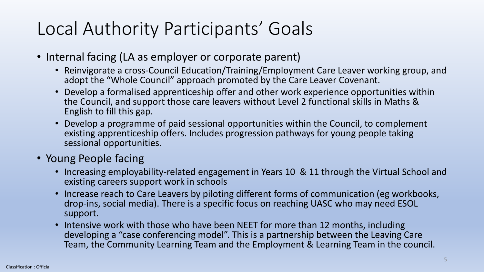# Local Authority Participants' Goals

- Internal facing (LA as employer or corporate parent)
	- Reinvigorate a cross-Council Education/Training/Employment Care Leaver working group, and adopt the "Whole Council" approach promoted by the Care Leaver Covenant.
	- Develop a formalised apprenticeship offer and other work experience opportunities within the Council, and support those care leavers without Level 2 functional skills in Maths & English to fill this gap.
	- Develop a programme of paid sessional opportunities within the Council, to complement existing apprenticeship offers. Includes progression pathways for young people taking sessional opportunities.

### • Young People facing

- Increasing employability-related engagement in Years 10 & 11 through the Virtual School and existing careers support work in schools
- Increase reach to Care Leavers by piloting different forms of communication (eg workbooks, drop-ins, social media). There is a specific focus on reaching UASC who may need ESOL support.
- Intensive work with those who have been NEET for more than 12 months, including developing a "case conferencing model". This is a partnership between the Leaving Care Team, the Community Learning Team and the Employment & Learning Team in the council.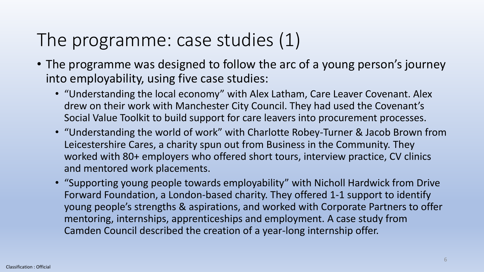# The programme: case studies (1)

- The programme was designed to follow the arc of a young person's journey into employability, using five case studies:
	- "Understanding the local economy" with Alex Latham, Care Leaver Covenant. Alex drew on their work with Manchester City Council. They had used the Covenant's Social Value Toolkit to build support for care leavers into procurement processes.
	- "Understanding the world of work" with Charlotte Robey-Turner & Jacob Brown from Leicestershire Cares, a charity spun out from Business in the Community. They worked with 80+ employers who offered short tours, interview practice, CV clinics and mentored work placements.
	- "Supporting young people towards employability" with Nicholl Hardwick from Drive Forward Foundation, a London-based charity. They offered 1-1 support to identify young people's strengths & aspirations, and worked with Corporate Partners to offer mentoring, internships, apprenticeships and employment. A case study from Camden Council described the creation of a year-long internship offer.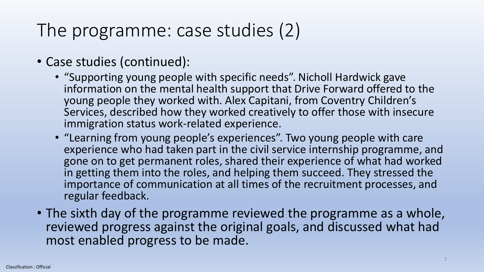# The programme: case studies (2)

- Case studies (continued):
	- "Supporting young people with specific needs". Nicholl Hardwick gave information on the mental health support that Drive Forward offered to the young people they worked with. Alex Capitani, from Coventry Children's Services, described how they worked creatively to offer those with insecure immigration status work-related experience.
	- "Learning from young people's experiences". Two young people with care experience who had taken part in the civil service internship programme, and gone on to get permanent roles, shared their experience of what had worked in getting them into the roles, and helping them succeed. They stressed the importance of communication at all times of the recruitment processes, and regular feedback.
- The sixth day of the programme reviewed the programme as a whole, reviewed progress against the original goals, and discussed what had most enabled progress to be made.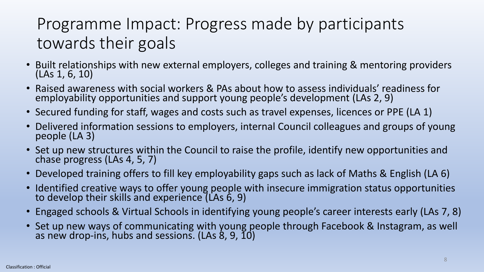## Programme Impact: Progress made by participants towards their goals

- Built relationships with new external employers, colleges and training & mentoring providers (LAs 1, 6, 10)
- Raised awareness with social workers & PAs about how to assess individuals' readiness for employability opportunities and support young people's development (LAs 2, 9)
- Secured funding for staff, wages and costs such as travel expenses, licences or PPE (LA 1)
- Delivered information sessions to employers, internal Council colleagues and groups of young people (LA 3)
- Set up new structures within the Council to raise the profile, identify new opportunities and chase progress (LAs 4, 5, 7)
- Developed training offers to fill key employability gaps such as lack of Maths & English (LA 6)
- Identified creative ways to offer young people with insecure immigration status opportunities to develop their skills and experience (LAs 6, 9)
- Engaged schools & Virtual Schools in identifying young people's career interests early (LAs 7, 8)
- Set up new ways of communicating with young people through Facebook & Instagram, as well as new drop-ins, hubs and sessions. (LAs 8, 9, 10)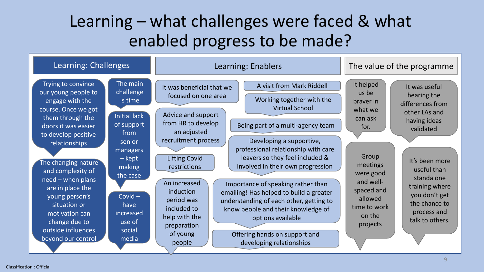## Learning – what challenges were faced & what enabled progress to be made?

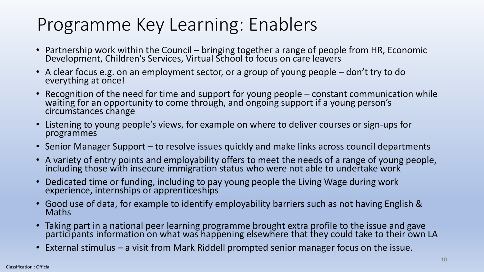# Programme Key Learning: Enablers

- Partnership work within the Council bringing together a range of people from HR, Economic Development, Children's Services, Virtual School to focus on care leavers
- A clear focus e.g. on an employment sector, or a group of young people don't try to do everything at once!
- Recognition of the need for time and support for young people constant communication while waiting for an opportunity to come through, and ongoing support if a young person's circumstances change
- Listening to young people's views, for example on where to deliver courses or sign-ups for programmes
- Senior Manager Support to resolve issues quickly and make links across council departments
- A variety of entry points and employability offers to meet the needs of a range of young people, including those with insecure immigration status who were not able to undertake work
- Dedicated time or funding, including to pay young people the Living Wage during work experience, internships or apprenticeships
- Good use of data, for example to identify employability barriers such as not having English & Maths
- Taking part in a national peer learning programme brought extra profile to the issue and gave participants information on what was happening elsewhere that they could take to their own LA
- External stimulus a visit from Mark Riddell prompted senior manager focus on the issue.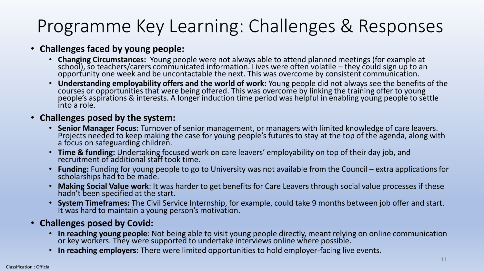# Programme Key Learning: Challenges & Responses

#### • **Challenges faced by young people:**

- **Changing Circumstances:** Young people were not always able to attend planned meetings (for example at school), so teachers/carers communicated information. Lives were often volatile – they could sign up to an opportunity one week and be uncontactable the next. This was overcome by consistent communication.
- **Understanding employability offers and the world of work:** Young people did not always see the benefits of the courses or opportunities that were being offered. This was overcome by linking the training offer to young people's aspirations & interests. A longer induction time period was helpful in enabling young people to settle into a role.

#### • **Challenges posed by the system:**

- **Senior Manager Focus:** Turnover of senior management, or managers with limited knowledge of care leavers. Projects needed to keep making the case for young people's futures to stay at the top of the agenda, along with a focus on safeguarding children.
- **Time & funding:** Undertaking focused work on care leavers' employability on top of their day job, and recruitment of additional staff took time.
- **Funding:** Funding for young people to go to University was not available from the Council extra applications for scholarships had to be made.
- **Making Social Value work**: It was harder to get benefits for Care Leavers through social value processes if these hadn't been specified at the start.
- **System Timeframes:** The Civil Service Internship, for example, could take 9 months between job offer and start. It was hard to maintain a young person's motivation.

#### • **Challenges posed by Covid:**

- **In reaching young people**: Not being able to visit young people directly, meant relying on online communication or key workers. They were supported to undertake interviews online where possible.
- **In reaching employers:** There were limited opportunities to hold employer-facing live events.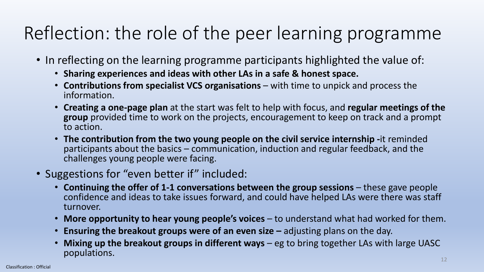# Reflection: the role of the peer learning programme

- In reflecting on the learning programme participants highlighted the value of:
	- **Sharing experiences and ideas with other LAs in a safe & honest space.**
	- **Contributions from specialist VCS organisations**  with time to unpick and process the information.
	- **Creating a one-page plan** at the start was felt to help with focus, and **regular meetings of the group** provided time to work on the projects, encouragement to keep on track and a prompt to action.
	- **The contribution from the two young people on the civil service internship -**it reminded participants about the basics – communication, induction and regular feedback, and the challenges young people were facing.
- Suggestions for "even better if" included:
	- **Continuing the offer of 1-1 conversations between the group sessions** these gave people confidence and ideas to take issues forward, and could have helped LAs were there was staff turnover.
	- **More opportunity to hear young people's voices**  to understand what had worked for them.
	- **Ensuring the breakout groups were of an even size** adjusting plans on the day.
	- **Mixing up the breakout groups in different ways** eg to bring together LAs with large UASC populations.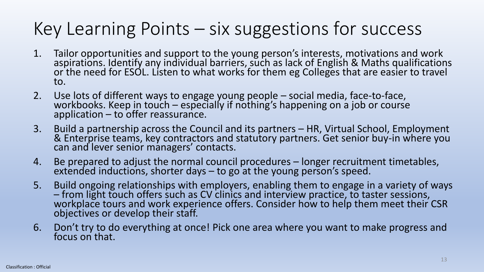# Key Learning Points – six suggestions for success

- 1. Tailor opportunities and support to the young person's interests, motivations and work aspirations. Identify any individual barriers, such as lack of English & Maths qualifications or the need for ESOL. Listen to what works for them eg Colleges that are easier to travel to.
- 2. Use lots of different ways to engage young people social media, face-to-face, workbooks. Keep in touch – especially if nothing's happening on a job or course application – to offer reassurance.
- 3. Build a partnership across the Council and its partners HR, Virtual School, Employment & Enterprise teams, key contractors and statutory partners. Get senior buy-in where you can and lever senior managers' contacts.
- 4. Be prepared to adjust the normal council procedures longer recruitment timetables, extended inductions, shorter days – to go at the young person's speed.
- 5. Build ongoing relationships with employers, enabling them to engage in a variety of ways – from light touch offers such as CV clinics and interview practice, to taster sessions, workplace tours and work experience offers. Consider how to help them meet their CSR objectives or develop their staff.
- 6. Don't try to do everything at once! Pick one area where you want to make progress and focus on that.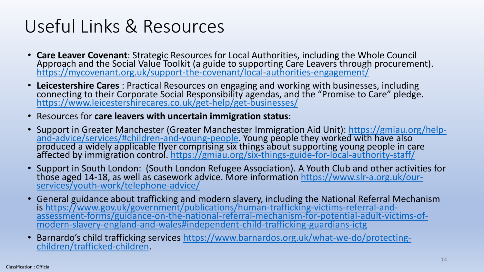# Useful Links & Resources

- **Care Leaver Covenant**: Strategic Resources for Local Authorities, including the Whole Council Approach and the Social Value Toolkit (a guide to supporting Care Leavers through procurement). <https://mycovenant.org.uk/support-the-covenant/local-authorities-engagement/>
- **Leicestershire Cares** : Practical Resources on engaging and working with businesses, including connecting to their Corporate Social Responsibility agendas, and the "Promise to Care" pledge. <https://www.leicestershirecares.co.uk/get-help/get-businesses/>
- Resources for **care leavers with uncertain immigration status**:
- [Support in Greater Manchester \(Greater Manchester Immigration Aid Unit\): https://gmiau.org/help](https://gbr01.safelinks.protection.outlook.com/?url=https%3A%2F%2Fgmiau.org%2Fhelp-and-advice%2Fservices%2F%23children-and-young-people&data=04%7C01%7CDarren.Bishton%40catch-22.org.uk%7C025e5fdd38754bd8413908d97ea4f907%7Cf1ded84eebd346b298f8658f4ca1209c%7C0%7C0%7C637680069404287713%7CUnknown%7CTWFpbGZsb3d8eyJWIjoiMC4wLjAwMDAiLCJQIjoiV2luMzIiLCJBTiI6Ik1haWwiLCJXVCI6Mn0%3D%7C1000&sdata=6RF%2FmQnvdJaXlbYeTqZ1Tcdp34lCiI0K%2F3%2FYdh1qNp4%3D&reserved=0)and-advice/services/#children-and-young-people. Young people they worked with have also produced a widely applicable flyer comprising six things about supporting young people in care affected by immigration control.<https://gmiau.org/six-things-guide-for-local-authority-staff/>
- Support in South London: (South London Refugee Association). A Youth Club and other activities for those aged 14-18, as well as casework advice. More information <u>https://www.slr-a.org.uk/our-</u> services/youth-work/telephone-advice/
- General guidance about trafficking and modern slavery, including the National Referral Mechanism is https://www.gov.uk/government/publications/human-trafficking-victims-referral-and[assessment-forms/guidance-on-the-national-referral-mechanism-for-potential-adult-victims-of](https://gbr01.safelinks.protection.outlook.com/?url=https%3A%2F%2Fwww.gov.uk%2Fgovernment%2Fpublications%2Fhuman-trafficking-victims-referral-and-assessment-forms%2Fguidance-on-the-national-referral-mechanism-for-potential-adult-victims-of-modern-slavery-england-and-wales%23independent-child-trafficking-guardians-ictg&data=04%7C01%7CDarren.Bishton%40catch-22.org.uk%7C025e5fdd38754bd8413908d97ea4f907%7Cf1ded84eebd346b298f8658f4ca1209c%7C0%7C0%7C637680069404297670%7CUnknown%7CTWFpbGZsb3d8eyJWIjoiMC4wLjAwMDAiLCJQIjoiV2luMzIiLCJBTiI6Ik1haWwiLCJXVCI6Mn0%3D%7C1000&sdata=NodhsR2T2zAvpNrD6w909HzLZVDOB5SNGmI2abTkLH8%3D&reserved=0)modern-slavery-england-and-wales#independent-child-trafficking-guardians-ictg
- Barnardo's child trafficking services [https://www.barnardos.org.uk/what-we-do/protecting](https://gbr01.safelinks.protection.outlook.com/?url=https%3A%2F%2Fwww.barnardos.org.uk%2Fwhat-we-do%2Fprotecting-children%2Ftrafficked-children&data=04%7C01%7CDarren.Bishton%40catch-22.org.uk%7C025e5fdd38754bd8413908d97ea4f907%7Cf1ded84eebd346b298f8658f4ca1209c%7C0%7C0%7C637680069404297670%7CUnknown%7CTWFpbGZsb3d8eyJWIjoiMC4wLjAwMDAiLCJQIjoiV2luMzIiLCJBTiI6Ik1haWwiLCJXVCI6Mn0%3D%7C1000&sdata=03Vtu67kqWPBkp8O80YljdceRJcXCLi46GKHj0PnnQ4%3D&reserved=0)children/trafficked-children.